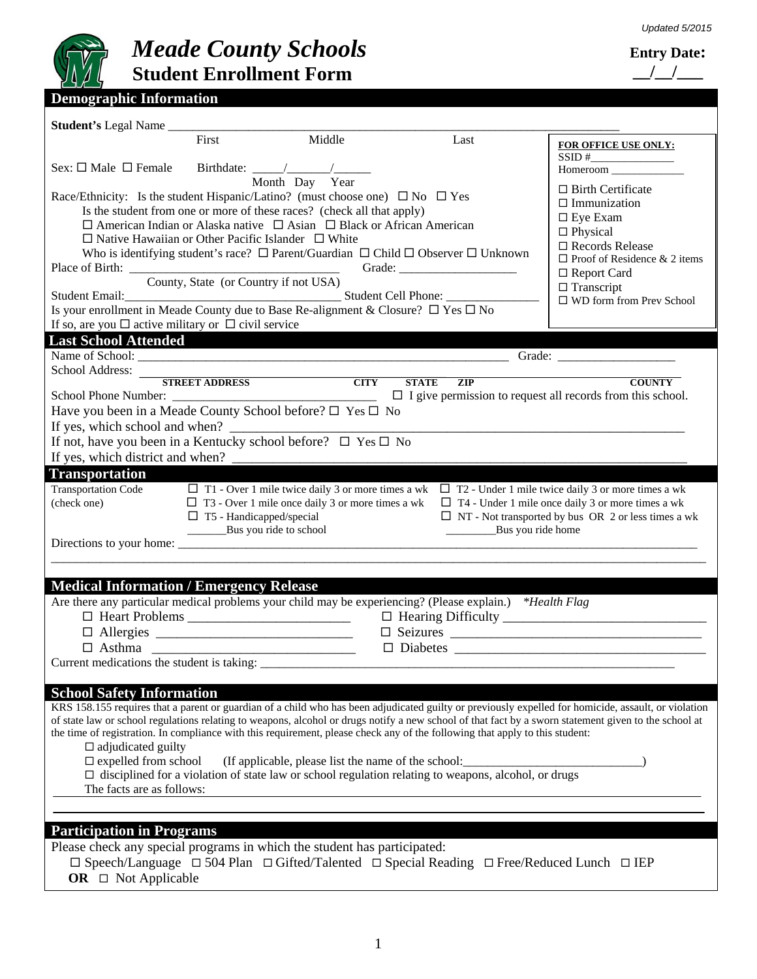

### *Meade County Schools* **Student Enrollment Form**

### **Entry Date: \_\_/\_\_/\_\_\_**

| Student's Legal Name                                                                                                                                  |                                                                                    |  |  |  |
|-------------------------------------------------------------------------------------------------------------------------------------------------------|------------------------------------------------------------------------------------|--|--|--|
| First<br>Middle<br>Last                                                                                                                               | FOR OFFICE USE ONLY:                                                               |  |  |  |
|                                                                                                                                                       | $SSID #\n\nHomeroom$                                                               |  |  |  |
| Month Day Year                                                                                                                                        |                                                                                    |  |  |  |
| Race/Ethnicity: Is the student Hispanic/Latino? (must choose one) $\Box$ No $\Box$ Yes                                                                | $\Box$ Birth Certificate                                                           |  |  |  |
| Is the student from one or more of these races? (check all that apply)                                                                                | $\Box$ Immunization<br>$\Box$ Eye Exam                                             |  |  |  |
| $\Box$ American Indian or Alaska native $\Box$ Asian $\Box$ Black or African American                                                                 | $\Box$ Physical                                                                    |  |  |  |
| $\Box$ Native Hawaiian or Other Pacific Islander $\Box$ White                                                                                         | $\square$ Records Release                                                          |  |  |  |
| Who is identifying student's race? $\Box$ Parent/Guardian $\Box$ Child $\Box$ Observer $\Box$ Unknown                                                 | $\Box$ Proof of Residence & 2 items                                                |  |  |  |
| County, State (or Country if not USA)                                                                                                                 | $\Box$ Report Card                                                                 |  |  |  |
|                                                                                                                                                       | $\Box$ Transcript<br>$\square$ WD form from Prev School                            |  |  |  |
| Student Email:<br>Is your enrollment in Meade County due to Base Re-alignment & Closure? □ Yes □ No                                                   |                                                                                    |  |  |  |
| If so, are you $\Box$ active military or $\Box$ civil service                                                                                         |                                                                                    |  |  |  |
| <b>Last School Attended</b><br><u> De Santa Carlos de Santa Carlos de Santa Carlos de Santa Carlos de Santa Carlos de Santa Carlos de Santa Car</u>   |                                                                                    |  |  |  |
|                                                                                                                                                       |                                                                                    |  |  |  |
| School Address:<br>STREET ADDRESS CITY                                                                                                                |                                                                                    |  |  |  |
| <b>STATE</b><br>$\overline{ZIP}$                                                                                                                      | <b>COUNTY</b><br>$\Box$ I give permission to request all records from this school. |  |  |  |
| Have you been in a Meade County School before? $\square$ Yes $\square$ No                                                                             |                                                                                    |  |  |  |
|                                                                                                                                                       |                                                                                    |  |  |  |
| If not, have you been in a Kentucky school before? $\Box$ Yes $\Box$ No                                                                               |                                                                                    |  |  |  |
| If yes, which district and when?                                                                                                                      |                                                                                    |  |  |  |
| <b>Transportation</b>                                                                                                                                 |                                                                                    |  |  |  |
| <b>Transportation Code</b><br>$\Box$ T1 - Over 1 mile twice daily 3 or more times a wk $\Box$ T2 - Under 1 mile twice daily 3 or more times a wk      |                                                                                    |  |  |  |
| (check one)<br>$\Box$ T3 - Over 1 mile once daily 3 or more times a wk                                                                                | $\Box$ T4 - Under 1 mile once daily 3 or more times a wk                           |  |  |  |
| $\square$ T5 - Handicapped/special<br>____________Bus you ride to school<br>Bus you ride home                                                         | $\Box$ NT - Not transported by bus OR 2 or less times a wk                         |  |  |  |
|                                                                                                                                                       |                                                                                    |  |  |  |
|                                                                                                                                                       |                                                                                    |  |  |  |
|                                                                                                                                                       |                                                                                    |  |  |  |
| <b>Medical Information / Emergency Release</b>                                                                                                        |                                                                                    |  |  |  |
| Are there any particular medical problems your child may be experiencing? (Please explain.) *Health Flag                                              |                                                                                    |  |  |  |
|                                                                                                                                                       |                                                                                    |  |  |  |
|                                                                                                                                                       |                                                                                    |  |  |  |
| $\Box$ Asthma<br>Current medications the student is taking:                                                                                           |                                                                                    |  |  |  |
|                                                                                                                                                       |                                                                                    |  |  |  |
| <b>School Safety Information</b>                                                                                                                      |                                                                                    |  |  |  |
| KRS 158.155 requires that a parent or guardian of a child who has been adjudicated guilty or previously expelled for homicide, assault, or violation  |                                                                                    |  |  |  |
| of state law or school regulations relating to weapons, alcohol or drugs notify a new school of that fact by a sworn statement given to the school at |                                                                                    |  |  |  |
| the time of registration. In compliance with this requirement, please check any of the following that apply to this student:                          |                                                                                    |  |  |  |
| $\Box$ adjudicated guilty<br>$\square$ expelled from school<br>(If applicable, please list the name of the school:                                    |                                                                                    |  |  |  |
| $\Box$ disciplined for a violation of state law or school regulation relating to weapons, alcohol, or drugs                                           |                                                                                    |  |  |  |
| The facts are as follows:                                                                                                                             |                                                                                    |  |  |  |
|                                                                                                                                                       |                                                                                    |  |  |  |
|                                                                                                                                                       |                                                                                    |  |  |  |
| <b>Participation in Programs</b>                                                                                                                      |                                                                                    |  |  |  |
| Please check any special programs in which the student has participated:                                                                              |                                                                                    |  |  |  |
| $\Box$ Speech/Language $\Box$ 504 Plan $\Box$ Gifted/Talented $\Box$ Special Reading $\Box$ Free/Reduced Lunch $\Box$ IEP<br>OR $\Box$ Not Applicable |                                                                                    |  |  |  |
|                                                                                                                                                       |                                                                                    |  |  |  |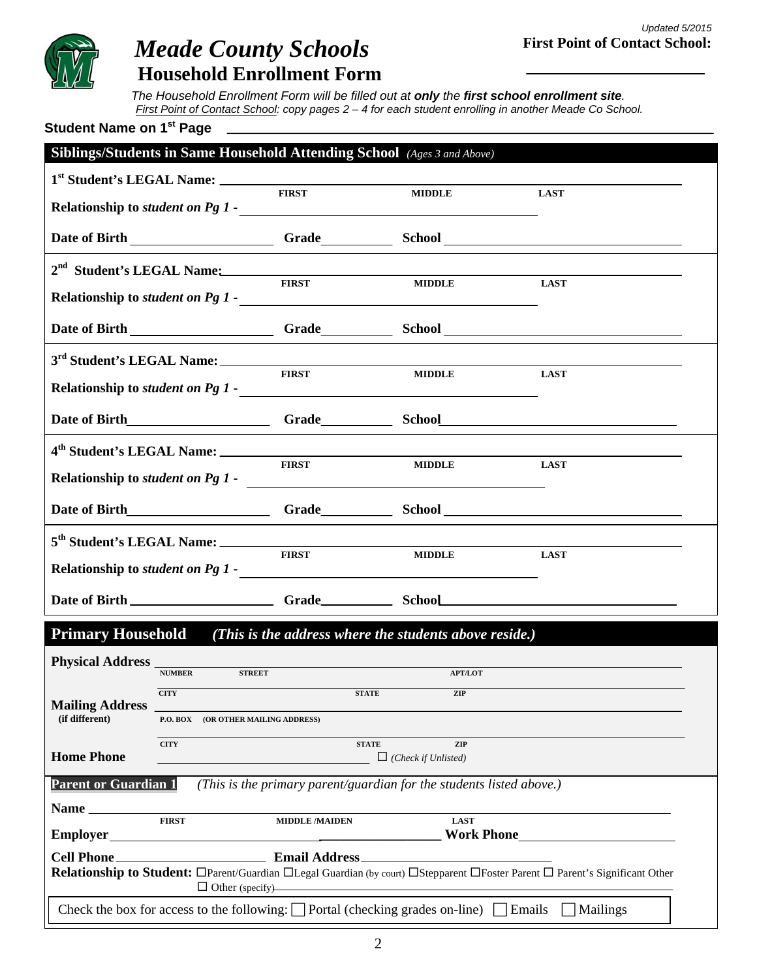

# *Meade County Schools*

**Household Enrollment Form**

*The Household Enrollment Form will be filled out at only the first school enrollment site. First Point of Contact School: copy pages 2 – 4 for each student enrolling in another Meade Co School.* 

| Student Name on 1 <sup>st</sup> Page                                                                                                                          |                                     |                                                                              |                                                                                           |                    |  |
|---------------------------------------------------------------------------------------------------------------------------------------------------------------|-------------------------------------|------------------------------------------------------------------------------|-------------------------------------------------------------------------------------------|--------------------|--|
|                                                                                                                                                               |                                     |                                                                              | Siblings/Students in Same Household Attending School (Ages 3 and Above)                   |                    |  |
| Relationship to <i>student on Pg 1</i> -                                                                                                                      |                                     | <b>FIRST</b>                                                                 | <b>MIDDLE</b><br><u> 1989 - Johann Stein, fransk politik (d. 1989)</u>                    | <b>LAST</b>        |  |
|                                                                                                                                                               |                                     |                                                                              |                                                                                           |                    |  |
|                                                                                                                                                               |                                     | <b>FIRST</b>                                                                 | 2 <sup>nd</sup> Student's LEGAL Name:<br><b>MIDDLE</b>                                    | <b>LAST</b>        |  |
|                                                                                                                                                               |                                     |                                                                              |                                                                                           |                    |  |
|                                                                                                                                                               |                                     | <b>FIRST</b>                                                                 | <b>MIDDLE</b>                                                                             | <b>LAST</b>        |  |
|                                                                                                                                                               |                                     |                                                                              |                                                                                           |                    |  |
|                                                                                                                                                               |                                     | <b>FIRST</b>                                                                 | <b>MIDDLE</b>                                                                             | <b>LAST</b>        |  |
|                                                                                                                                                               |                                     |                                                                              |                                                                                           |                    |  |
| Relationship to <i>student on Pg 1</i> -                                                                                                                      |                                     | <b>FIRST</b>                                                                 | <b>MIDDLE</b><br><u> 1980 - John Stein, Amerikaansk politiker (</u>                       | <b>LAST</b>        |  |
|                                                                                                                                                               |                                     |                                                                              |                                                                                           |                    |  |
| <b>Primary Household</b>                                                                                                                                      |                                     |                                                                              | (This is the address where the students above reside.)                                    |                    |  |
| <b>Physical Address</b>                                                                                                                                       | <b>NUMBER</b>                       |                                                                              | STREET APT/LOT                                                                            |                    |  |
|                                                                                                                                                               | <b>CITY</b>                         |                                                                              | <b>STATE</b><br>ZIP                                                                       |                    |  |
| <b>Mailing Address</b><br>(if different)                                                                                                                      | P.O. BOX (OR OTHER MAILING ADDRESS) |                                                                              |                                                                                           |                    |  |
| <b>Home Phone</b>                                                                                                                                             | <b>CITY</b>                         |                                                                              | <b>STATE</b><br>ZIP<br>$\Box$ (Check if Unlisted)                                         |                    |  |
| <b>Parent or Guardian 1</b>                                                                                                                                   |                                     |                                                                              | (This is the primary parent/guardian for the students listed above.)                      |                    |  |
| Name                                                                                                                                                          | <b>FIRST</b>                        |                                                                              |                                                                                           |                    |  |
| <b>Employer</b>                                                                                                                                               |                                     | <b>MIDDLE/MAIDEN</b><br><u> 1980 - Johann Barn, fransk politik (f. 1980)</u> | <b>LAST</b>                                                                               | <b>Work Phone</b>  |  |
|                                                                                                                                                               |                                     |                                                                              |                                                                                           |                    |  |
| <b>Relationship to Student:</b> □Parent/Guardian □Legal Guardian (by court) □Stepparent □Foster Parent □ Parent's Significant Other<br>$\Box$ Other (specify) |                                     |                                                                              |                                                                                           |                    |  |
|                                                                                                                                                               |                                     |                                                                              | Check the box for access to the following: $\Box$ Portal (checking grades on-line) $\Box$ | Emails<br>Mailings |  |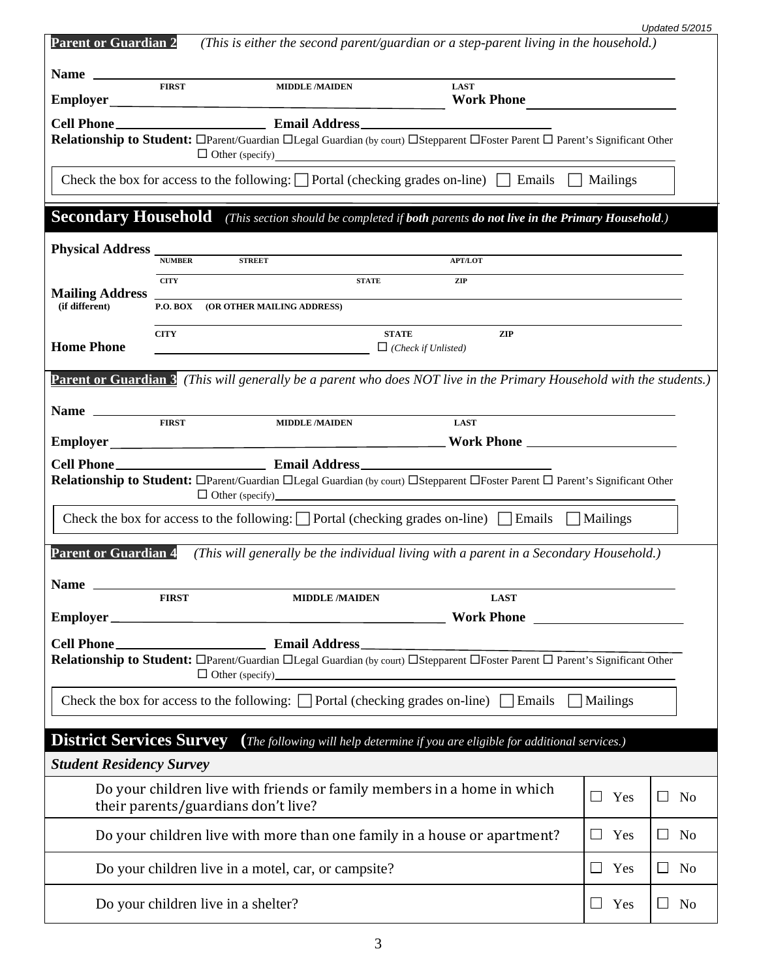|                                          |               |                                                                                                                                          |                                            |                                                                                          |                     | Updated 5/2015 |                |
|------------------------------------------|---------------|------------------------------------------------------------------------------------------------------------------------------------------|--------------------------------------------|------------------------------------------------------------------------------------------|---------------------|----------------|----------------|
| <b>Parent or Guardian 2</b>              |               |                                                                                                                                          |                                            | (This is either the second parent/guardian or a step-parent living in the household.)    |                     |                |                |
|                                          | <b>FIRST</b>  | <b>MIDDLE/MAIDEN</b>                                                                                                                     |                                            | <b>LAST</b>                                                                              |                     |                |                |
|                                          |               |                                                                                                                                          |                                            | <b>Work Phone</b>                                                                        |                     |                |                |
|                                          |               |                                                                                                                                          |                                            |                                                                                          |                     |                |                |
|                                          |               | Relationship to Student: <sup>D</sup> Parent/Guardian DLegal Guardian (by court) DStepparent DFoster Parent D Parent's Significant Other |                                            |                                                                                          |                     |                |                |
|                                          |               | Check the box for access to the following: $\Box$ Portal (checking grades on-line) $\Box$ Emails $\Box$ Mailings                         |                                            |                                                                                          |                     |                |                |
| <b>Secondary Household</b>               |               |                                                                                                                                          |                                            | (This section should be completed if both parents do not live in the Primary Household.) |                     |                |                |
| <b>Physical Address</b>                  | <b>NUMBER</b> | <b>STREET</b>                                                                                                                            |                                            | <b>APT/LOT</b>                                                                           |                     |                |                |
|                                          | <b>CITY</b>   |                                                                                                                                          | <b>STATE</b>                               | ZIP                                                                                      |                     |                |                |
| <b>Mailing Address</b><br>(if different) |               | <b>P.O. BOX (OR OTHER MAILING ADDRESS)</b>                                                                                               |                                            |                                                                                          |                     |                |                |
|                                          |               |                                                                                                                                          |                                            |                                                                                          |                     |                |                |
| <b>Home Phone</b>                        | <b>CITY</b>   |                                                                                                                                          | <b>STATE</b><br>$\Box$ (Check if Unlisted) | ZIP                                                                                      |                     |                |                |
|                                          |               | <b>Parent or Guardian 3</b> (This will generally be a parent who does NOT live in the Primary Household with the students.)              |                                            |                                                                                          |                     |                |                |
| <b>Name</b>                              | <b>FIRST</b>  | <b>MIDDLE/MAIDEN</b>                                                                                                                     |                                            | <b>LAST</b>                                                                              |                     |                |                |
|                                          |               |                                                                                                                                          |                                            |                                                                                          |                     |                |                |
|                                          |               | Relationship to Student: <sup>D</sup> Parent/Guardian DLegal Guardian (by court) DStepparent DFoster Parent D Parent's Significant Other |                                            | $\Box$ Other (specify)                                                                   |                     |                |                |
|                                          |               | Check the box for access to the following: $\Box$ Portal (checking grades on-line) $\Box$ Emails $\Box$ Mailings                         |                                            |                                                                                          |                     |                |                |
| <b>Parent or Guardian 4</b>              |               | (This will generally be the individual living with a parent in a Secondary Household.)                                                   |                                            |                                                                                          |                     |                |                |
| <b>Name</b>                              | <b>FIRST</b>  |                                                                                                                                          |                                            | <b>LAST</b>                                                                              |                     |                |                |
| Employer_                                |               | <b>MIDDLE /MAIDEN</b>                                                                                                                    |                                            | <b>Work Phone</b>                                                                        |                     |                |                |
| <b>Cell Phone_</b>                       |               | <b>Email Address</b>                                                                                                                     |                                            |                                                                                          |                     |                |                |
|                                          |               | Relationship to Student: OParent/Guardian OLegal Guardian (by court) OStepparent OFoster Parent O Parent's Significant Other             |                                            |                                                                                          |                     |                |                |
|                                          |               | Check the box for access to the following: $\Box$ Portal (checking grades on-line) $\Box$ Emails                                         |                                            |                                                                                          | Mailings            |                |                |
| <b>District Services Survey</b>          |               |                                                                                                                                          |                                            | (The following will help determine if you are eligible for additional services.)         |                     |                |                |
| <b>Student Residency Survey</b>          |               |                                                                                                                                          |                                            |                                                                                          |                     |                |                |
|                                          |               | Do your children live with friends or family members in a home in which<br>their parents/guardians don't live?                           |                                            |                                                                                          | $\mathsf{L}$<br>Yes | $\Box$         | No             |
|                                          |               | Do your children live with more than one family in a house or apartment?                                                                 |                                            |                                                                                          | $\mathsf{L}$<br>Yes | $\Box$         | N <sub>o</sub> |
|                                          |               | Do your children live in a motel, car, or campsite?                                                                                      |                                            |                                                                                          | $\Box$<br>Yes       | $\Box$         | No             |
|                                          |               | Do your children live in a shelter?                                                                                                      |                                            |                                                                                          | $\Box$ Yes          | ப              | No             |